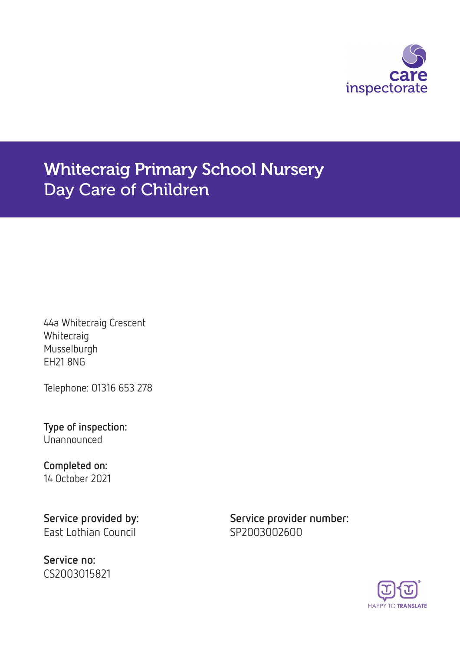

# Whitecraig Primary School Nursery Day Care of Children

44a Whitecraig Crescent **Whitecraig** Musselburgh EH21 8NG

Telephone: 01316 653 278

Type of inspection: Unannounced

### Completed on: 14 October 2021

East Lothian Council **SP2003002600** 

Service no: CS2003015821

Service provided by: Service provider number:

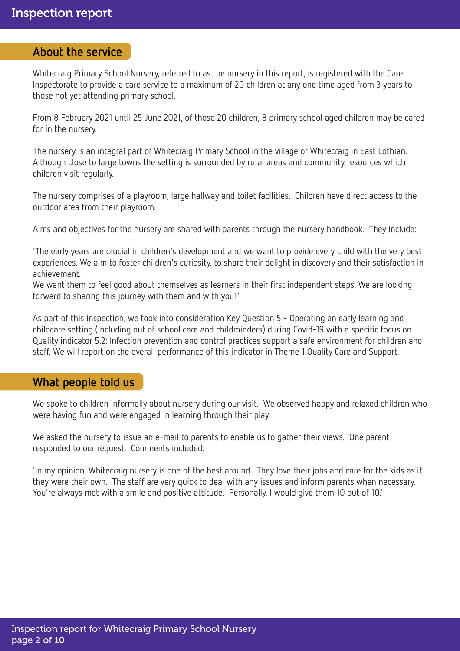### About the service

Whitecraig Primary School Nursery, referred to as the nursery in this report, is registered with the Care Inspectorate to provide a care service to a maximum of 20 children at any one time aged from 3 years to those not yet attending primary school.

From 8 February 2021 until 25 June 2021, of those 20 children, 8 primary school aged children may be cared for in the nursery.

The nursery is an integral part of Whitecraig Primary School in the village of Whitecraig in East Lothian. Although close to large towns the setting is surrounded by rural areas and community resources which children visit regularly.

The nursery comprises of a playroom, large hallway and toilet facilities. Children have direct access to the outdoor area from their playroom.

Aims and objectives for the nursery are shared with parents through the nursery handbook. They include:

'The early years are crucial in children's development and we want to provide every child with the very best experiences. We aim to foster children's curiosity, to share their delight in discovery and their satisfaction in achievement.

We want them to feel good about themselves as learners in their first independent steps. We are looking forward to sharing this journey with them and with you!'

As part of this inspection, we took into consideration Key Question 5 - Operating an early learning and childcare setting (including out of school care and childminders) during Covid-19 with a specific focus on Quality indicator 5.2: Infection prevention and control practices support a safe environment for children and staff. We will report on the overall performance of this indicator in Theme 1 Quality Care and Support.

## What people told us

We spoke to children informally about nursery during our visit. We observed happy and relaxed children who were having fun and were engaged in learning through their play.

We asked the nursery to issue an e-mail to parents to enable us to gather their views. One parent responded to our request. Comments included:

'In my opinion, Whitecraig nursery is one of the best around. They love their jobs and care for the kids as if they were their own. The staff are very quick to deal with any issues and inform parents when necessary. You're always met with a smile and positive attitude. Personally, I would give them 10 out of 10.'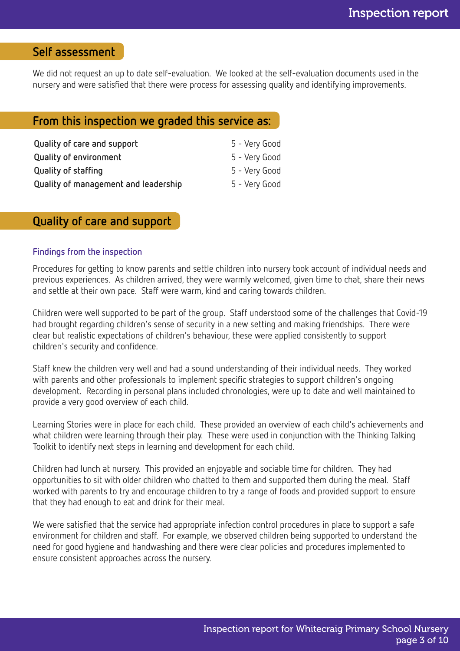# Self assessment

We did not request an up to date self-evaluation. We looked at the self-evaluation documents used in the nursery and were satisfied that there were process for assessing quality and identifying improvements.

### From this inspection we graded this service as:

| Quality of care and support          | 5 - Very Good |
|--------------------------------------|---------------|
| <b>Quality of environment</b>        | 5 - Very Good |
| Quality of staffing                  | 5 - Very Good |
| Quality of management and leadership | 5 - Very Good |

# Quality of care and support

### Findings from the inspection

Procedures for getting to know parents and settle children into nursery took account of individual needs and previous experiences. As children arrived, they were warmly welcomed, given time to chat, share their news and settle at their own pace. Staff were warm, kind and caring towards children.

Children were well supported to be part of the group. Staff understood some of the challenges that Covid-19 had brought regarding children's sense of security in a new setting and making friendships. There were clear but realistic expectations of children's behaviour, these were applied consistently to support children's security and confidence.

Staff knew the children very well and had a sound understanding of their individual needs. They worked with parents and other professionals to implement specific strategies to support children's ongoing development. Recording in personal plans included chronologies, were up to date and well maintained to provide a very good overview of each child.

Learning Stories were in place for each child. These provided an overview of each child's achievements and what children were learning through their play. These were used in conjunction with the Thinking Talking Toolkit to identify next steps in learning and development for each child.

Children had lunch at nursery. This provided an enjoyable and sociable time for children. They had opportunities to sit with older children who chatted to them and supported them during the meal. Staff worked with parents to try and encourage children to try a range of foods and provided support to ensure that they had enough to eat and drink for their meal.

We were satisfied that the service had appropriate infection control procedures in place to support a safe environment for children and staff. For example, we observed children being supported to understand the need for good hygiene and handwashing and there were clear policies and procedures implemented to ensure consistent approaches across the nursery.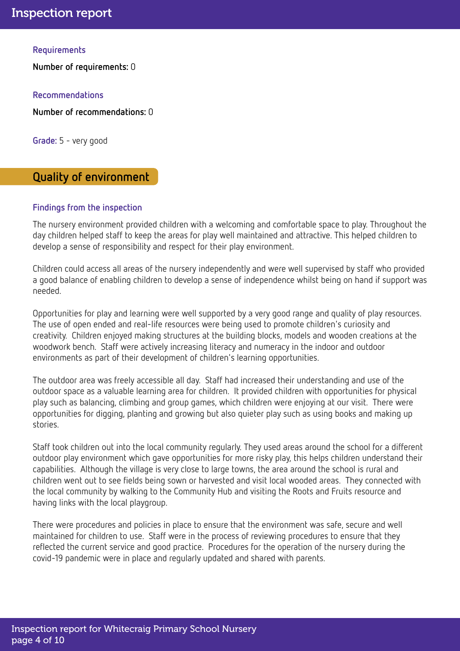### **Requirements**

Number of requirements: 0

Recommendations

Number of recommendations: 0

Grade: 5 - very good

# Quality of environment

### Findings from the inspection

The nursery environment provided children with a welcoming and comfortable space to play. Throughout the day children helped staff to keep the areas for play well maintained and attractive. This helped children to develop a sense of responsibility and respect for their play environment.

Children could access all areas of the nursery independently and were well supervised by staff who provided a good balance of enabling children to develop a sense of independence whilst being on hand if support was needed.

Opportunities for play and learning were well supported by a very good range and quality of play resources. The use of open ended and real-life resources were being used to promote children's curiosity and creativity. Children enjoyed making structures at the building blocks, models and wooden creations at the woodwork bench. Staff were actively increasing literacy and numeracy in the indoor and outdoor environments as part of their development of children's learning opportunities.

The outdoor area was freely accessible all day. Staff had increased their understanding and use of the outdoor space as a valuable learning area for children. It provided children with opportunities for physical play such as balancing, climbing and group games, which children were enjoying at our visit. There were opportunities for digging, planting and growing but also quieter play such as using books and making up stories.

Staff took children out into the local community regularly. They used areas around the school for a different outdoor play environment which gave opportunities for more risky play, this helps children understand their capabilities. Although the village is very close to large towns, the area around the school is rural and children went out to see fields being sown or harvested and visit local wooded areas. They connected with the local community by walking to the Community Hub and visiting the Roots and Fruits resource and having links with the local playgroup.

There were procedures and policies in place to ensure that the environment was safe, secure and well maintained for children to use. Staff were in the process of reviewing procedures to ensure that they reflected the current service and good practice. Procedures for the operation of the nursery during the covid-19 pandemic were in place and regularly updated and shared with parents.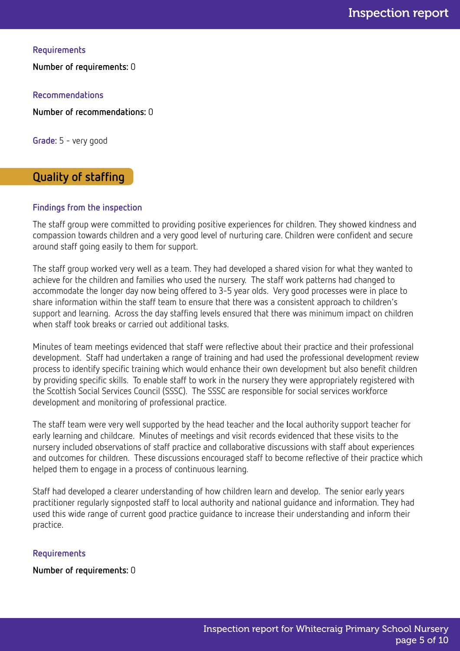**Requirements** 

Number of requirements: 0

Recommendations

Number of recommendations: 0

Grade: 5 - very good

# Quality of staffing

### Findings from the inspection

The staff group were committed to providing positive experiences for children. They showed kindness and compassion towards children and a very good level of nurturing care. Children were confident and secure around staff going easily to them for support.

The staff group worked very well as a team. They had developed a shared vision for what they wanted to achieve for the children and families who used the nursery. The staff work patterns had changed to accommodate the longer day now being offered to 3-5 year olds. Very good processes were in place to share information within the staff team to ensure that there was a consistent approach to children's support and learning. Across the day staffing levels ensured that there was minimum impact on children when staff took breaks or carried out additional tasks.

Minutes of team meetings evidenced that staff were reflective about their practice and their professional development. Staff had undertaken a range of training and had used the professional development review process to identify specific training which would enhance their own development but also benefit children by providing specific skills. To enable staff to work in the nursery they were appropriately registered with the Scottish Social Services Council (SSSC). The SSSC are responsible for social services workforce development and monitoring of professional practice.

The staff team were very well supported by the head teacher and the local authority support teacher for early learning and childcare. Minutes of meetings and visit records evidenced that these visits to the nursery included observations of staff practice and collaborative discussions with staff about experiences and outcomes for children. These discussions encouraged staff to become reflective of their practice which helped them to engage in a process of continuous learning.

Staff had developed a clearer understanding of how children learn and develop. The senior early years practitioner regularly signposted staff to local authority and national guidance and information. They had used this wide range of current good practice guidance to increase their understanding and inform their practice.

### Requirements

Number of requirements: 0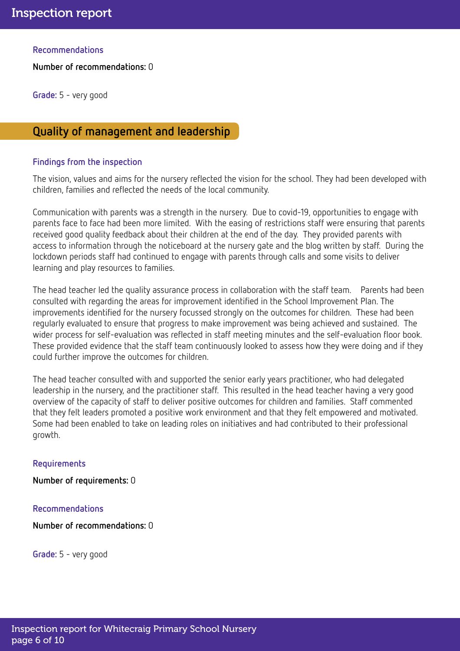Recommendations

Number of recommendations: 0

Grade: 5 - very good

# Quality of management and leadership

### Findings from the inspection

The vision, values and aims for the nursery reflected the vision for the school. They had been developed with children, families and reflected the needs of the local community.

Communication with parents was a strength in the nursery. Due to covid-19, opportunities to engage with parents face to face had been more limited. With the easing of restrictions staff were ensuring that parents received good quality feedback about their children at the end of the day. They provided parents with access to information through the noticeboard at the nursery gate and the blog written by staff. During the lockdown periods staff had continued to engage with parents through calls and some visits to deliver learning and play resources to families.

The head teacher led the quality assurance process in collaboration with the staff team. Parents had been consulted with regarding the areas for improvement identified in the School Improvement Plan. The improvements identified for the nursery focussed strongly on the outcomes for children. These had been regularly evaluated to ensure that progress to make improvement was being achieved and sustained. The wider process for self-evaluation was reflected in staff meeting minutes and the self-evaluation floor book. These provided evidence that the staff team continuously looked to assess how they were doing and if they could further improve the outcomes for children.

The head teacher consulted with and supported the senior early years practitioner, who had delegated leadership in the nursery, and the practitioner staff. This resulted in the head teacher having a very good overview of the capacity of staff to deliver positive outcomes for children and families. Staff commented that they felt leaders promoted a positive work environment and that they felt empowered and motivated. Some had been enabled to take on leading roles on initiatives and had contributed to their professional growth.

### Requirements

Number of requirements: 0

### Recommendations

Number of recommendations: 0

Grade: 5 - very good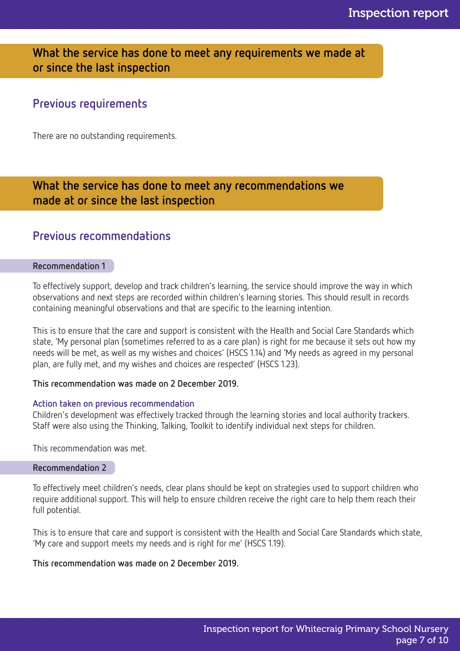# What the service has done to meet any requirements we made at or since the last inspection

# Previous requirements

There are no outstanding requirements.

# What the service has done to meet any recommendations we made at or since the last inspection

# Previous recommendations

### Recommendation 1

To effectively support, develop and track children's learning, the service should improve the way in which observations and next steps are recorded within children's learning stories. This should result in records containing meaningful observations and that are specific to the learning intention.

This is to ensure that the care and support is consistent with the Health and Social Care Standards which state, 'My personal plan (sometimes referred to as a care plan) is right for me because it sets out how my needs will be met, as well as my wishes and choices' (HSCS 1.14) and 'My needs as agreed in my personal plan, are fully met, and my wishes and choices are respected' (HSCS 1.23).

### This recommendation was made on 2 December 2019.

### Action taken on previous recommendation

Children's development was effectively tracked through the learning stories and local authority trackers. Staff were also using the Thinking, Talking, Toolkit to identify individual next steps for children.

This recommendation was met.

### Recommendation 2

To effectively meet children's needs, clear plans should be kept on strategies used to support children who require additional support. This will help to ensure children receive the right care to help them reach their full potential.

This is to ensure that care and support is consistent with the Health and Social Care Standards which state, 'My care and support meets my needs and is right for me' (HSCS 1.19).

This recommendation was made on 2 December 2019.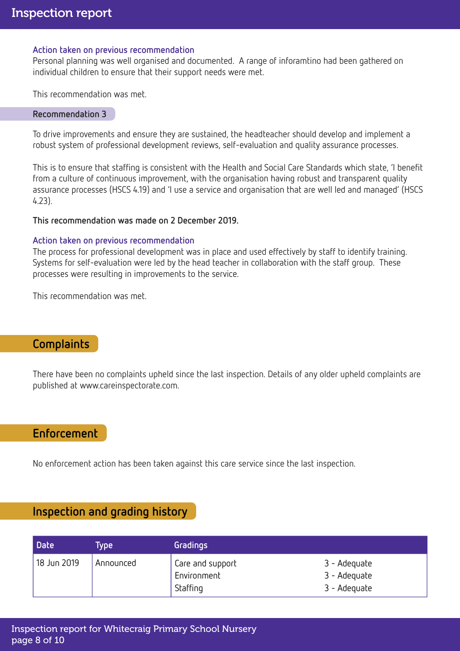### Action taken on previous recommendation

Personal planning was well organised and documented. A range of inforamtino had been gathered on individual children to ensure that their support needs were met.

This recommendation was met.

#### Recommendation 3

To drive improvements and ensure they are sustained, the headteacher should develop and implement a robust system of professional development reviews, self-evaluation and quality assurance processes.

This is to ensure that staffing is consistent with the Health and Social Care Standards which state, 'I benefit from a culture of continuous improvement, with the organisation having robust and transparent quality assurance processes (HSCS 4.19) and 'I use a service and organisation that are well led and managed' (HSCS 4.23).

### This recommendation was made on 2 December 2019.

### Action taken on previous recommendation

The process for professional development was in place and used effectively by staff to identify training. Systems for self-evaluation were led by the head teacher in collaboration with the staff group. These processes were resulting in improvements to the service.

This recommendation was met.

# **Complaints**

There have been no complaints upheld since the last inspection. Details of any older upheld complaints are published at www.careinspectorate.com.

# Enforcement

No enforcement action has been taken against this care service since the last inspection.

# Inspection and grading history

| Date        | <b>Type</b> | Gradings                                    |                                              |
|-------------|-------------|---------------------------------------------|----------------------------------------------|
| 18 Jun 2019 | Announced   | Care and support<br>Environment<br>Staffing | 3 - Adequate<br>3 - Adequate<br>3 - Adequate |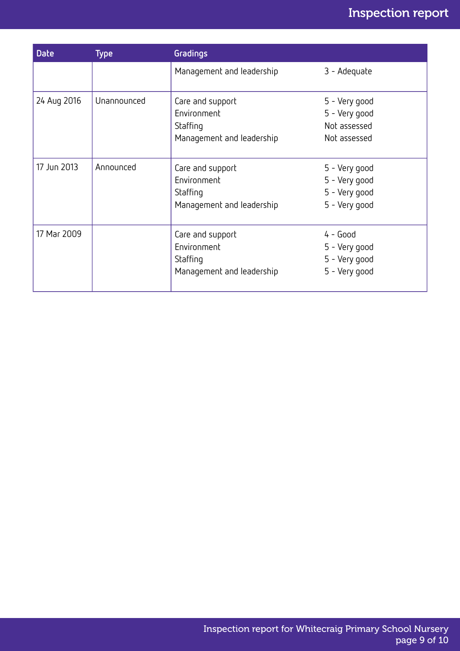| <b>Date</b> | <b>Type</b> | <b>Gradings</b>                                                          |                                                                  |
|-------------|-------------|--------------------------------------------------------------------------|------------------------------------------------------------------|
|             |             | Management and leadership                                                | 3 - Adequate                                                     |
| 24 Aug 2016 | Unannounced | Care and support<br>Environment<br>Staffing<br>Management and leadership | 5 - Very good<br>5 - Very good<br>Not assessed<br>Not assessed   |
| 17 Jun 2013 | Announced   | Care and support<br>Environment<br>Staffing<br>Management and leadership | 5 - Very good<br>5 - Very good<br>5 - Very good<br>5 - Very good |
| 17 Mar 2009 |             | Care and support<br>Environment<br>Staffing<br>Management and leadership | $4 - Good$<br>5 - Very good<br>5 - Very good<br>5 - Very good    |